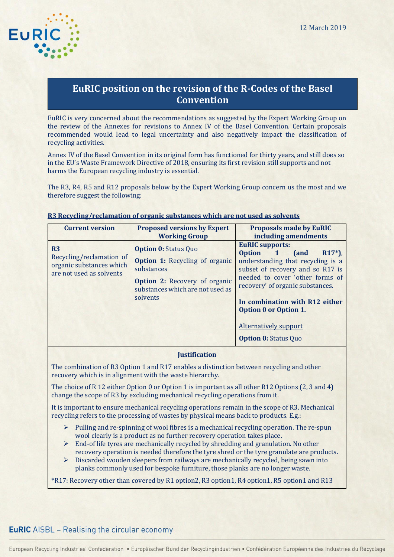

# **EuRIC position on the revision of the R-Codes of the Basel Convention**

EuRIC is very concerned about the recommendations as suggested by the Expert Working Group on the review of the Annexes for revisions to Annex IV of the Basel Convention. Certain proposals recommended would lead to legal uncertainty and also negatively impact the classification of recycling activities.

Annex IV of the Basel Convention in its original form has functioned for thirty years, and still does so in the EU's Waste Framework Directive of 2018, ensuring its first revision still supports and not harms the European recycling industry is essential.

The R3, R4, R5 and R12 proposals below by the Expert Working Group concern us the most and we therefore suggest the following:

| <b>Current version</b>                                                                             | <b>Proposed versions by Expert</b><br><b>Working Group</b>                                                                                                                 | <b>Proposals made by EuRIC</b><br>including amendments                                                                                                                                                                                                                                                                                     |  |
|----------------------------------------------------------------------------------------------------|----------------------------------------------------------------------------------------------------------------------------------------------------------------------------|--------------------------------------------------------------------------------------------------------------------------------------------------------------------------------------------------------------------------------------------------------------------------------------------------------------------------------------------|--|
| R <sub>3</sub><br>Recycling/reclamation of<br>organic substances which<br>are not used as solvents | <b>Option 0: Status Quo</b><br><b>Option 1:</b> Recycling of organic<br>substances<br><b>Option 2:</b> Recovery of organic<br>substances which are not used as<br>solvents | <b>EuRIC supports:</b><br><b>Option</b><br>$1$ (and<br>$R17*)$ ,<br>understanding that recycling is a<br>subset of recovery and so R17 is<br>needed to cover 'other forms of<br>recovery' of organic substances.<br>In combination with R12 either<br>Option 0 or Option 1.<br><b>Alternatively support</b><br><b>Option 0: Status Quo</b> |  |

### **R3 Recycling/reclamation of organic substances which are not used as solvents**

### **Justification**

The combination of R3 Option 1 and R17 enables a distinction between recycling and other recovery which is in alignment with the waste hierarchy.

The choice of R 12 either Option 0 or Option 1 is important as all other R12 Options (2, 3 and 4) change the scope of R3 by excluding mechanical recycling operations from it.

It is important to ensure mechanical recycling operations remain in the scope of R3. Mechanical recycling refers to the processing of wastes by physical means back to products. E.g.:

- ➢ Pulling and re-spinning of wool fibres is a mechanical recycling operation. The re-spun wool clearly is a product as no further recovery operation takes place.
- $\triangleright$  End-of life tyres are mechanically recycled by shredding and granulation. No other recovery operation is needed therefore the tyre shred or the tyre granulate are products.
- $\triangleright$  Discarded wooden sleepers from railways are mechanically recycled, being sawn into planks commonly used for bespoke furniture, those planks are no longer waste.

\*R17: Recovery other than covered by R1 option2, R3 option1, R4 option1, R5 option1 and R13

# **EuRIC** AISBL – Realising the circular economy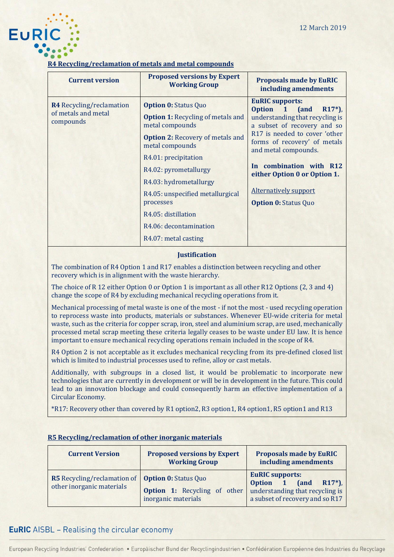

### **R4 Recycling/reclamation of metals and metal compounds**

| <b>Current version</b>                                              | <b>Proposed versions by Expert</b><br><b>Working Group</b>                                                                                                                                                                                                                                                                            | <b>Proposals made by EuRIC</b><br>including amendments                                                                                                                                                                                                                                                                                                                  |
|---------------------------------------------------------------------|---------------------------------------------------------------------------------------------------------------------------------------------------------------------------------------------------------------------------------------------------------------------------------------------------------------------------------------|-------------------------------------------------------------------------------------------------------------------------------------------------------------------------------------------------------------------------------------------------------------------------------------------------------------------------------------------------------------------------|
| <b>R4</b> Recycling/reclamation<br>of metals and metal<br>compounds | <b>Option 0: Status Quo</b><br><b>Option 1: Recycling of metals and</b><br>metal compounds<br><b>Option 2: Recovery of metals and</b><br>metal compounds<br>R4.01: precipitation<br>R4.02: pyrometallurgy<br>R4.03: hydrometallurgy<br>R4.05: unspecified metallurgical<br>processes<br>R4.05: distillation<br>R4.06: decontamination | <b>EuRIC supports:</b><br><b>Option</b><br>$\mathbf{1}$<br><b>and</b><br>$R17*)$ ,<br>understanding that recycling is<br>a subset of recovery and so<br>R17 is needed to cover 'other<br>forms of recovery' of metals<br>and metal compounds.<br>In combination with R12<br>either Option 0 or Option 1.<br><b>Alternatively support</b><br><b>Option 0: Status Quo</b> |
|                                                                     | R4.07: metal casting                                                                                                                                                                                                                                                                                                                  |                                                                                                                                                                                                                                                                                                                                                                         |

### **Justification**

The combination of R4 Option 1 and R17 enables a distinction between recycling and other recovery which is in alignment with the waste hierarchy.

The choice of R 12 either Option 0 or Option 1 is important as all other R12 Options (2, 3 and 4) change the scope of R4 by excluding mechanical recycling operations from it.

Mechanical processing of metal waste is one of the most - if not the most - used recycling operation to reprocess waste into products, materials or substances. Whenever EU-wide criteria for metal waste, such as the criteria for copper scrap, iron, steel and aluminium scrap, are used, mechanically processed metal scrap meeting these criteria legally ceases to be waste under EU law. It is hence important to ensure mechanical recycling operations remain included in the scope of R4.

R4 Option 2 is not acceptable as it excludes mechanical recycling from its pre-defined closed list which is limited to industrial processes used to refine, alloy or cast metals.

Additionally, with subgroups in a closed list, it would be problematic to incorporate new technologies that are currently in development or will be in development in the future. This could lead to an innovation blockage and could consequently harm an effective implementation of a Circular Economy.

\*R17: Recovery other than covered by R1 option2, R3 option1, R4 option1, R5 option1 and R13

| <b>Current Version</b>                                                                      | <b>Proposed versions by Expert</b><br><b>Working Group</b> | <b>Proposals made by EuRIC</b><br>including amendments                                                                        |  |
|---------------------------------------------------------------------------------------------|------------------------------------------------------------|-------------------------------------------------------------------------------------------------------------------------------|--|
| <b>R5</b> Recycling/reclamation of <b>Option 0:</b> Status Quo<br>other inorganic materials | <b>Option 1:</b> Recycling of other<br>inorganic materials | <b>EuRIC supports:</b><br>$R17*)$ ,<br>(and<br>Option 1<br>understanding that recycling is<br>a subset of recovery and so R17 |  |

### **R5 Recycling/reclamation of other inorganic materials**

# **EuRIC** AISBL – Realising the circular economy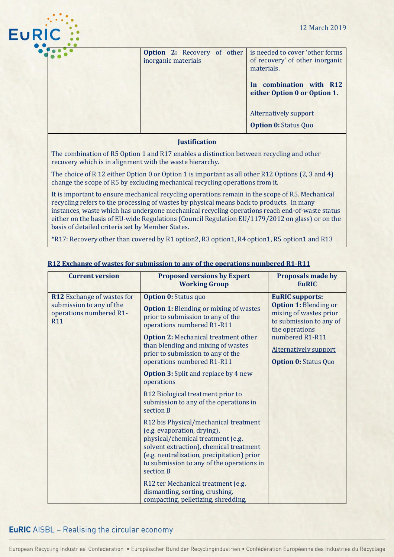

| inorganic materials |  | <b>Option 2:</b> Recovery of other is needed to cover 'other forms<br>of recovery' of other inorganic<br>materials. |
|---------------------|--|---------------------------------------------------------------------------------------------------------------------|
|                     |  | In combination with R12<br>either Option 0 or Option 1.                                                             |
|                     |  | Alternatively support                                                                                               |
|                     |  | <b>Option 0: Status Quo</b>                                                                                         |

### **Justification**

The combination of R5 Option 1 and R17 enables a distinction between recycling and other recovery which is in alignment with the waste hierarchy.

The choice of R 12 either Option 0 or Option 1 is important as all other R12 Options (2, 3 and 4) change the scope of R5 by excluding mechanical recycling operations from it.

It is important to ensure mechanical recycling operations remain in the scope of R5. Mechanical recycling refers to the processing of wastes by physical means back to products. In many instances, waste which has undergone mechanical recycling operations reach end-of-waste status either on the basis of EU-wide Regulations (Council Regulation EU/1179/2012 on glass) or on the basis of detailed criteria set by Member States.

\*R17: Recovery other than covered by R1 option2, R3 option1, R4 option1, R5 option1 and R13

| <b>Current version</b>                                                                                 | <b>Proposed versions by Expert</b><br><b>Working Group</b>                                                                                                                                                                                                                                              | <b>Proposals made by</b><br><b>EuRIC</b>                                                                                                                                                                        |
|--------------------------------------------------------------------------------------------------------|---------------------------------------------------------------------------------------------------------------------------------------------------------------------------------------------------------------------------------------------------------------------------------------------------------|-----------------------------------------------------------------------------------------------------------------------------------------------------------------------------------------------------------------|
| <b>R12</b> Exchange of wastes for<br>submission to any of the<br>operations numbered R1-<br><b>R11</b> | <b>Option 0: Status quo</b><br><b>Option 1:</b> Blending or mixing of wastes<br>prior to submission to any of the<br>operations numbered R1-R11<br><b>Option 2: Mechanical treatment other</b><br>than blending and mixing of wastes<br>prior to submission to any of the<br>operations numbered R1-R11 | <b>EuRIC supports:</b><br><b>Option 1: Blending or</b><br>mixing of wastes prior<br>to submission to any of<br>the operations<br>numbered R1-R11<br><b>Alternatively support</b><br><b>Option 0: Status Quo</b> |
|                                                                                                        | <b>Option 3:</b> Split and replace by 4 new<br>operations<br>R12 Biological treatment prior to<br>submission to any of the operations in<br>section B                                                                                                                                                   |                                                                                                                                                                                                                 |
|                                                                                                        | R12 bis Physical/mechanical treatment<br>(e.g. evaporation, drying),<br>physical/chemical treatment (e.g.<br>solvent extraction), chemical treatment<br>(e.g. neutralization, precipitation) prior<br>to submission to any of the operations in<br>section B                                            |                                                                                                                                                                                                                 |
|                                                                                                        | R12 ter Mechanical treatment (e.g.<br>dismantling, sorting, crushing,<br>compacting, pelletizing, shredding,                                                                                                                                                                                            |                                                                                                                                                                                                                 |

### **R12 Exchange of wastes for submission to any of the operations numbered R1-R11**

# **EuRIC** AISBL – Realising the circular economy